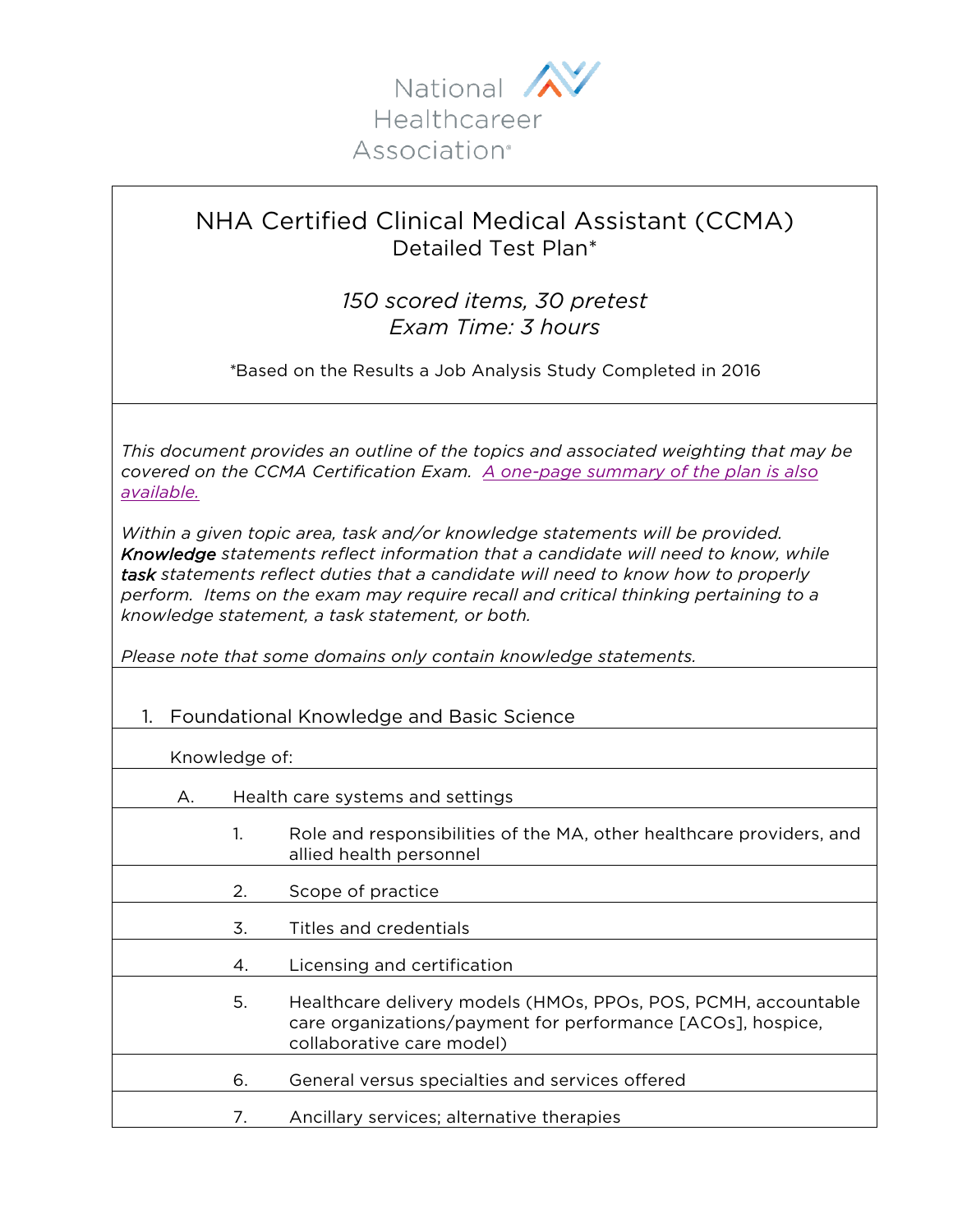

## NHA Certified Clinical Medical Assistant (CCMA) Detailed Test Plan\*

*150 scored items, 30 pretest Exam Time: 3 hours* 

*\**Based on the Results a Job Analysis Study Completed in 2016

*This document provides an outline of the topics and associated weighting that may be covered on the CCMA Certification Exam. [A one-page summary of the plan is also](https://www.nhanow.com/docs/default-source/test-plans/ccma-test-plan-one-page-summary.pdf?sfvrsn=32b019bf_4)  available.*

*Within a given topic area, task and/or knowledge statements will be provided. Knowledge statements reflect information that a candidate will need to know, while task statements reflect duties that a candidate will need to know how to properly perform. Items on the exam may require recall and critical thinking pertaining to a knowledge statement, a task statement, or both.* 

*Please note that some domains only contain knowledge statements.* 

## 1. Foundational Knowledge and Basic Science

Knowledge of:

- A. Health care systems and settings
	- 1. Role and responsibilities of the MA, other healthcare providers, and allied health personnel
	- 2. Scope of practice
	- 3. Titles and credentials
	- 4. Licensing and certification
		- 5. Healthcare delivery models (HMOs, PPOs, POS, PCMH, accountable care organizations/payment for performance [ACOs], hospice, collaborative care model)
	- 6. General versus specialties and services offered
		- 7. Ancillary services; alternative therapies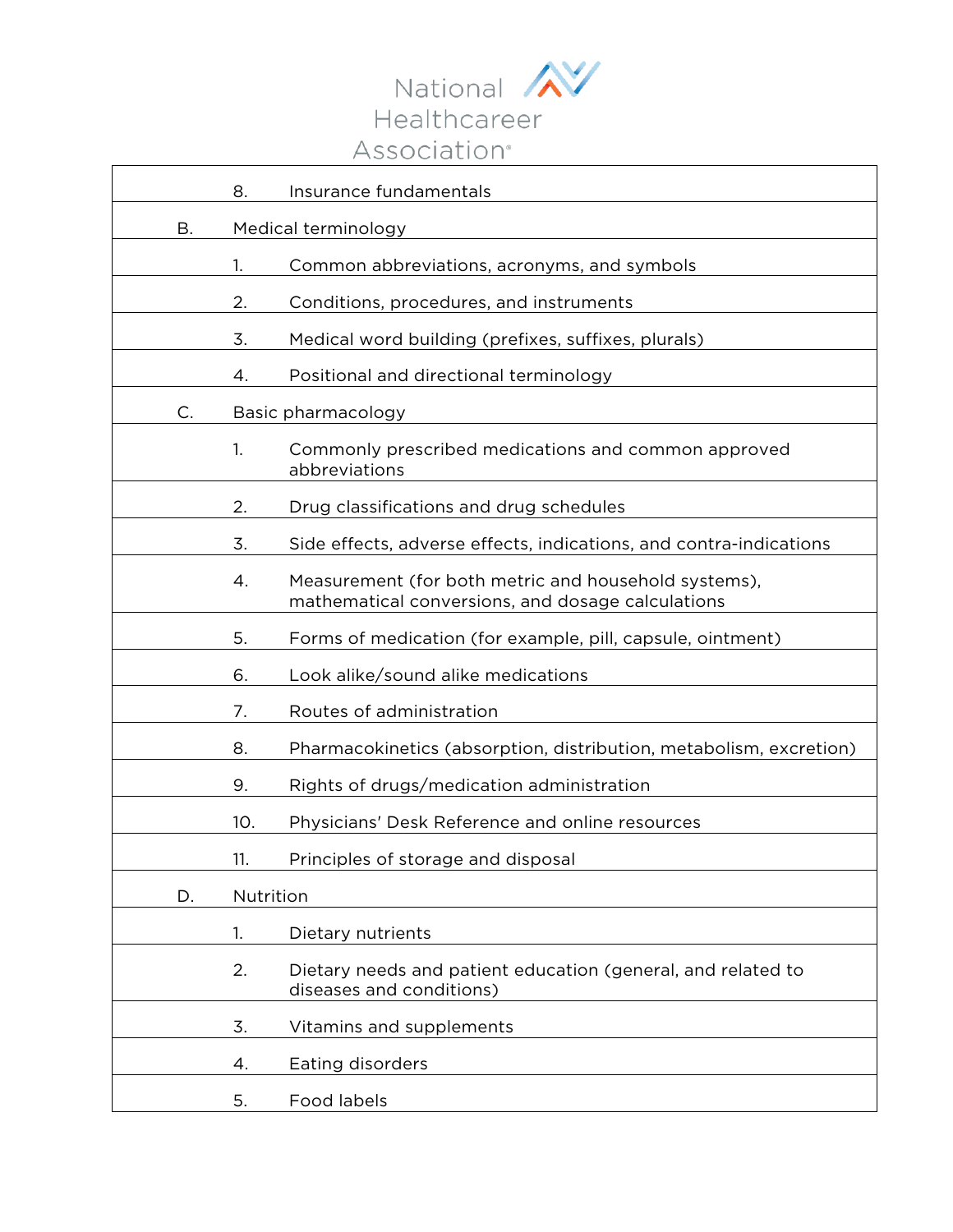

|    | 8.        | Insurance fundamentals                                                                                    |
|----|-----------|-----------------------------------------------------------------------------------------------------------|
| Β. |           | Medical terminology                                                                                       |
|    | 1.        | Common abbreviations, acronyms, and symbols                                                               |
|    | 2.        | Conditions, procedures, and instruments                                                                   |
|    | 3.        | Medical word building (prefixes, suffixes, plurals)                                                       |
|    | 4.        | Positional and directional terminology                                                                    |
| C. |           | Basic pharmacology                                                                                        |
|    | 1.        | Commonly prescribed medications and common approved<br>abbreviations                                      |
|    | 2.        | Drug classifications and drug schedules                                                                   |
|    | 3.        | Side effects, adverse effects, indications, and contra-indications                                        |
|    | 4.        | Measurement (for both metric and household systems),<br>mathematical conversions, and dosage calculations |
|    | 5.        | Forms of medication (for example, pill, capsule, ointment)                                                |
|    | 6.        | Look alike/sound alike medications                                                                        |
|    | 7.        | Routes of administration                                                                                  |
|    | 8.        | Pharmacokinetics (absorption, distribution, metabolism, excretion)                                        |
|    | 9.        | Rights of drugs/medication administration                                                                 |
|    | 10.       | Physicians' Desk Reference and online resources                                                           |
|    | 11.       | Principles of storage and disposal                                                                        |
| D. | Nutrition |                                                                                                           |
|    | 1.        | Dietary nutrients                                                                                         |
|    | 2.        | Dietary needs and patient education (general, and related to<br>diseases and conditions)                  |
|    | 3.        | Vitamins and supplements                                                                                  |
|    | 4.        | Eating disorders                                                                                          |
|    | 5.        | Food labels                                                                                               |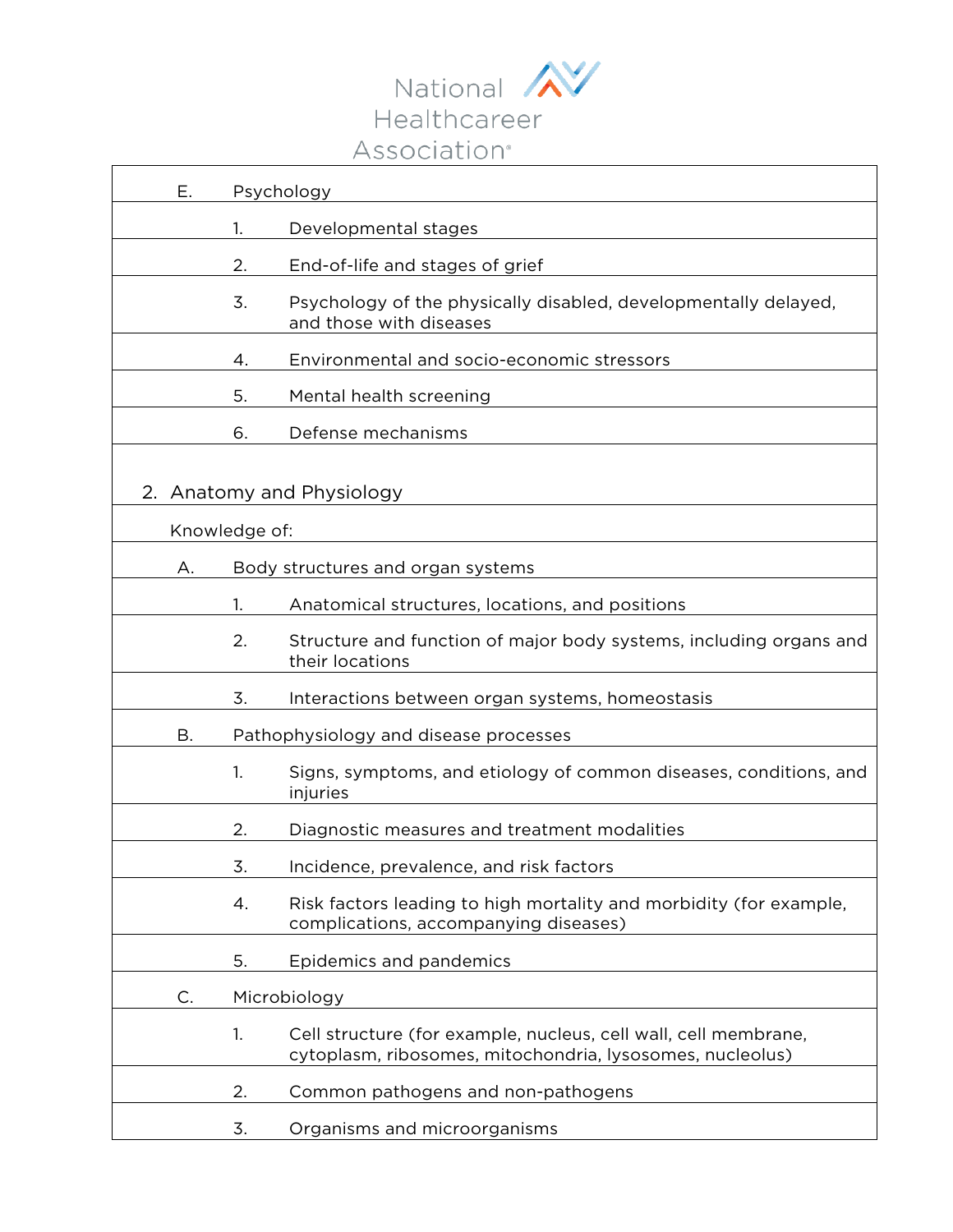

| Е.                                            |    | Psychology                                                                                                                   |
|-----------------------------------------------|----|------------------------------------------------------------------------------------------------------------------------------|
|                                               | 1. | Developmental stages                                                                                                         |
|                                               | 2. | End-of-life and stages of grief                                                                                              |
|                                               | 3. | Psychology of the physically disabled, developmentally delayed,<br>and those with diseases                                   |
|                                               | 4. | Environmental and socio-economic stressors                                                                                   |
|                                               | 5. | Mental health screening                                                                                                      |
|                                               | 6. | Defense mechanisms                                                                                                           |
| Anatomy and Physiology<br>2.<br>Knowledge of: |    |                                                                                                                              |
| А.                                            |    | Body structures and organ systems                                                                                            |
|                                               | 1. | Anatomical structures, locations, and positions                                                                              |
|                                               | 2. | Structure and function of major body systems, including organs and<br>their locations                                        |
|                                               | 3. | Interactions between organ systems, homeostasis                                                                              |
| В.                                            |    | Pathophysiology and disease processes                                                                                        |
|                                               | 1. | Signs, symptoms, and etiology of common diseases, conditions, and<br>injuries                                                |
|                                               | 2. | Diagnostic measures and treatment modalities                                                                                 |
|                                               | 3. | Incidence, prevalence, and risk factors                                                                                      |
|                                               | 4. | Risk factors leading to high mortality and morbidity (for example,<br>complications, accompanying diseases)                  |
|                                               | 5. | Epidemics and pandemics                                                                                                      |
| C.                                            |    | Microbiology                                                                                                                 |
|                                               | 1. | Cell structure (for example, nucleus, cell wall, cell membrane,<br>cytoplasm, ribosomes, mitochondria, lysosomes, nucleolus) |
|                                               | 2. | Common pathogens and non-pathogens                                                                                           |
|                                               | 3. | Organisms and microorganisms                                                                                                 |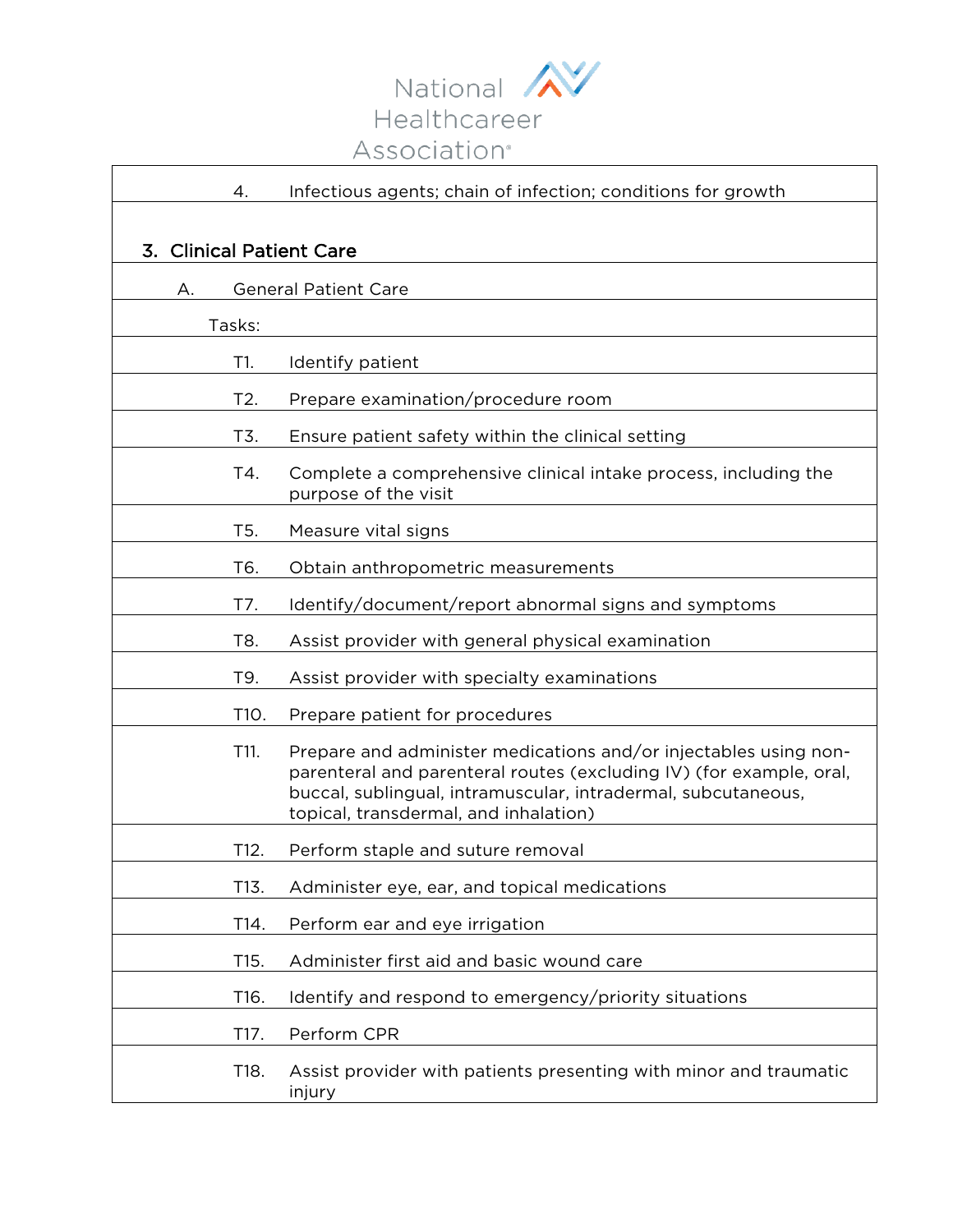

| 4.                       | Infectious agents; chain of infection; conditions for growth                                                                                                                                                                                      |  |
|--------------------------|---------------------------------------------------------------------------------------------------------------------------------------------------------------------------------------------------------------------------------------------------|--|
|                          |                                                                                                                                                                                                                                                   |  |
| 3. Clinical Patient Care |                                                                                                                                                                                                                                                   |  |
| А.                       | <b>General Patient Care</b>                                                                                                                                                                                                                       |  |
| Tasks:                   |                                                                                                                                                                                                                                                   |  |
| T1.                      | Identify patient                                                                                                                                                                                                                                  |  |
| T2.                      | Prepare examination/procedure room                                                                                                                                                                                                                |  |
| T3.                      | Ensure patient safety within the clinical setting                                                                                                                                                                                                 |  |
| T4.                      | Complete a comprehensive clinical intake process, including the<br>purpose of the visit                                                                                                                                                           |  |
| T <sub>5</sub> .         | Measure vital signs                                                                                                                                                                                                                               |  |
| T6.                      | Obtain anthropometric measurements                                                                                                                                                                                                                |  |
| T7.                      | Identify/document/report abnormal signs and symptoms                                                                                                                                                                                              |  |
| T8.                      | Assist provider with general physical examination                                                                                                                                                                                                 |  |
| T9.                      | Assist provider with specialty examinations                                                                                                                                                                                                       |  |
| T10.                     | Prepare patient for procedures                                                                                                                                                                                                                    |  |
| T11.                     | Prepare and administer medications and/or injectables using non-<br>parenteral and parenteral routes (excluding IV) (for example, oral,<br>buccal, sublingual, intramuscular, intradermal, subcutaneous,<br>topical, transdermal, and inhalation) |  |
| T12.                     | Perform staple and suture removal                                                                                                                                                                                                                 |  |
| T13.                     | Administer eye, ear, and topical medications                                                                                                                                                                                                      |  |
| T14.                     | Perform ear and eye irrigation                                                                                                                                                                                                                    |  |
| T15.                     | Administer first aid and basic wound care                                                                                                                                                                                                         |  |
| T16.                     | Identify and respond to emergency/priority situations                                                                                                                                                                                             |  |
| T17.                     | Perform CPR                                                                                                                                                                                                                                       |  |
| T18.                     | Assist provider with patients presenting with minor and traumatic<br>injury                                                                                                                                                                       |  |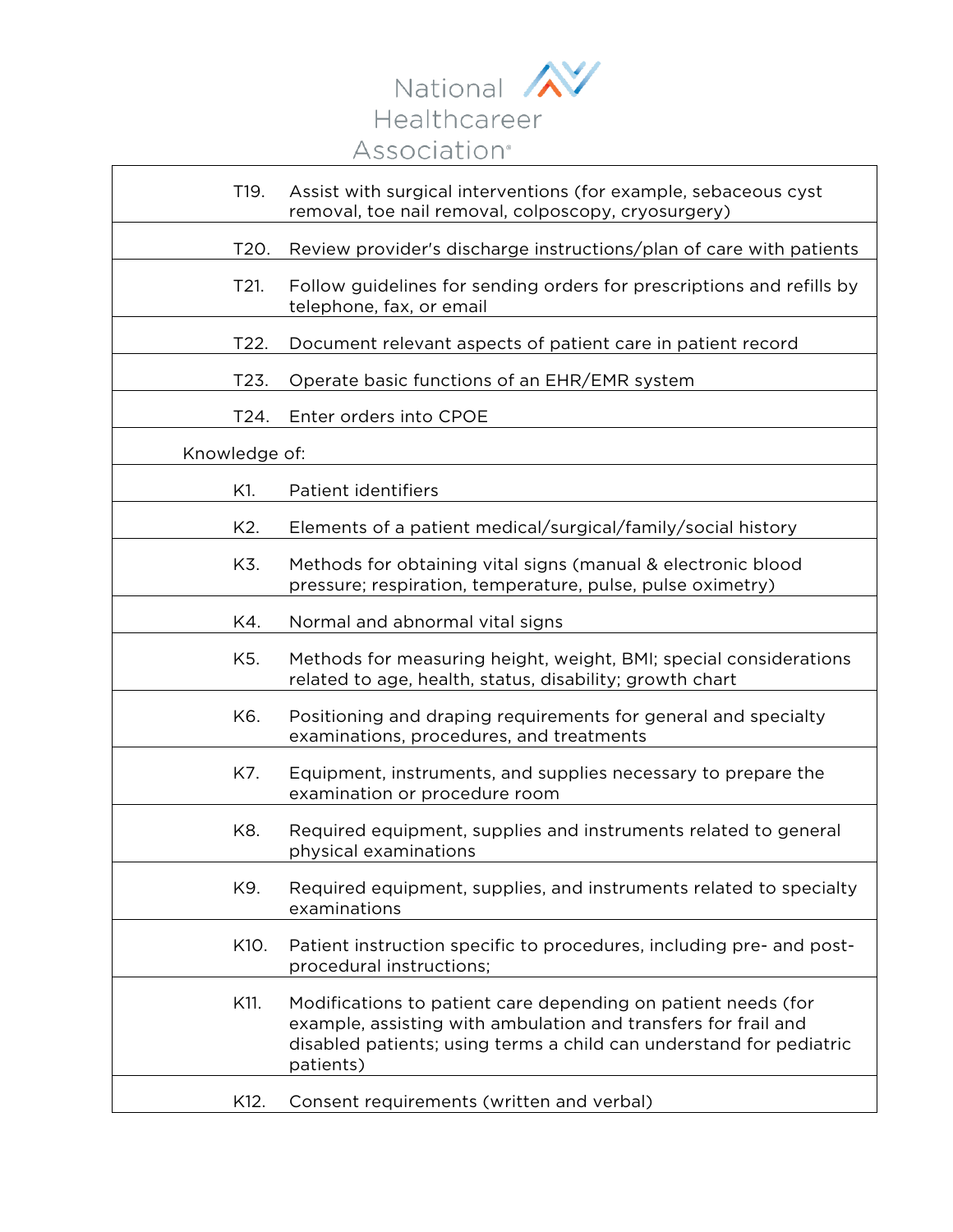

| T19.          | Assist with surgical interventions (for example, sebaceous cyst<br>removal, toe nail removal, colposcopy, cryosurgery)                                                                                              |
|---------------|---------------------------------------------------------------------------------------------------------------------------------------------------------------------------------------------------------------------|
| T20.          | Review provider's discharge instructions/plan of care with patients                                                                                                                                                 |
| T21.          | Follow guidelines for sending orders for prescriptions and refills by<br>telephone, fax, or email                                                                                                                   |
| T22.          | Document relevant aspects of patient care in patient record                                                                                                                                                         |
| T23.          | Operate basic functions of an EHR/EMR system                                                                                                                                                                        |
| T24.          | Enter orders into CPOE                                                                                                                                                                                              |
| Knowledge of: |                                                                                                                                                                                                                     |
| K1.           | Patient identifiers                                                                                                                                                                                                 |
| K2.           | Elements of a patient medical/surgical/family/social history                                                                                                                                                        |
| K3.           | Methods for obtaining vital signs (manual & electronic blood<br>pressure; respiration, temperature, pulse, pulse oximetry)                                                                                          |
| K4.           | Normal and abnormal vital signs                                                                                                                                                                                     |
| K5.           | Methods for measuring height, weight, BMI; special considerations<br>related to age, health, status, disability; growth chart                                                                                       |
| K6.           | Positioning and draping requirements for general and specialty<br>examinations, procedures, and treatments                                                                                                          |
| K7.           | Equipment, instruments, and supplies necessary to prepare the<br>examination or procedure room                                                                                                                      |
| K8.           | Required equipment, supplies and instruments related to general<br>physical examinations                                                                                                                            |
| K9.           | Required equipment, supplies, and instruments related to specialty<br>examinations                                                                                                                                  |
| K10.          | Patient instruction specific to procedures, including pre- and post-<br>procedural instructions;                                                                                                                    |
| K11.          | Modifications to patient care depending on patient needs (for<br>example, assisting with ambulation and transfers for frail and<br>disabled patients; using terms a child can understand for pediatric<br>patients) |
| K12.          | Consent requirements (written and verbal)                                                                                                                                                                           |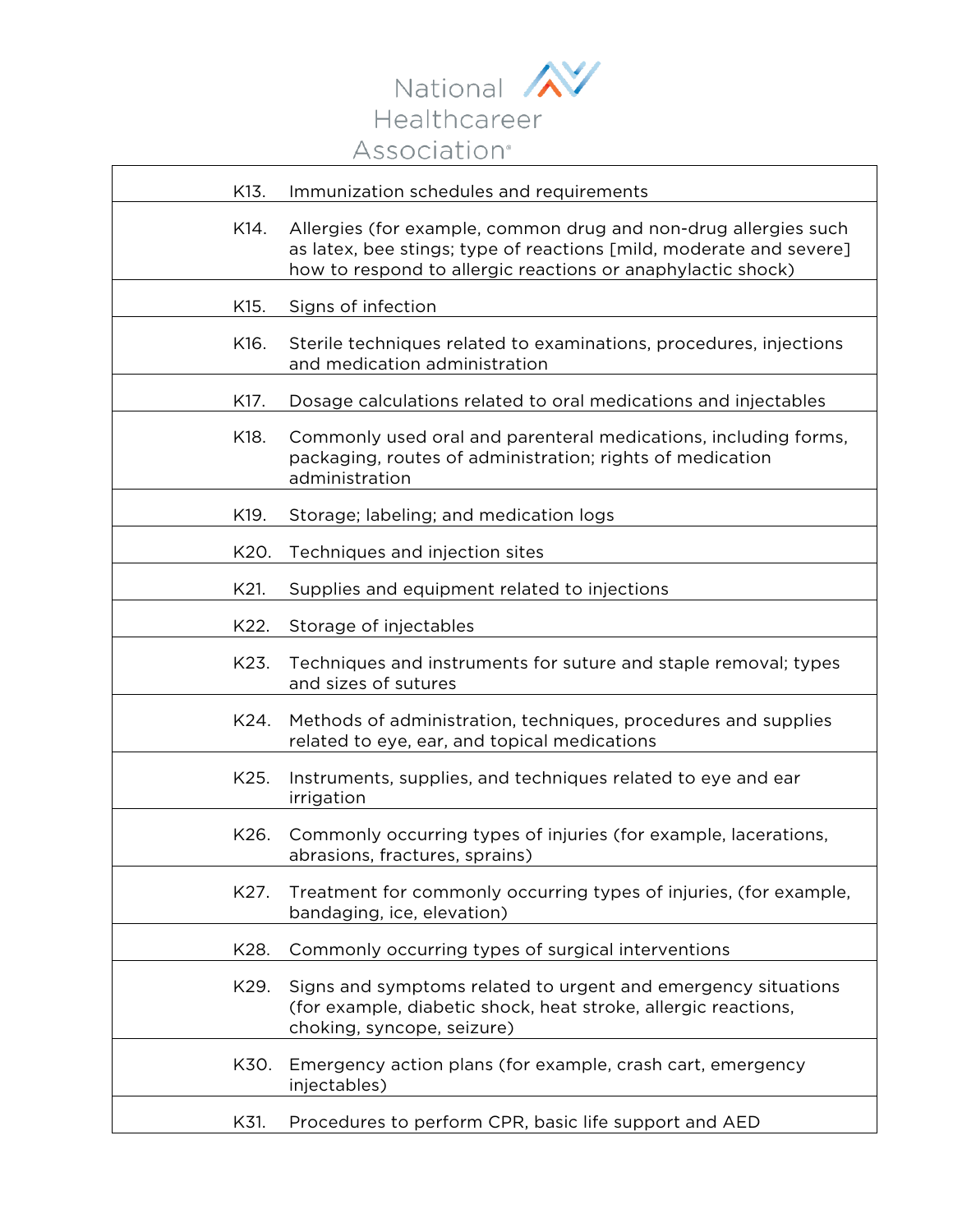

| K13. | Immunization schedules and requirements                                                                                                                                                               |
|------|-------------------------------------------------------------------------------------------------------------------------------------------------------------------------------------------------------|
| K14. | Allergies (for example, common drug and non-drug allergies such<br>as latex, bee stings; type of reactions [mild, moderate and severe]<br>how to respond to allergic reactions or anaphylactic shock) |
| K15. | Signs of infection                                                                                                                                                                                    |
| K16. | Sterile techniques related to examinations, procedures, injections<br>and medication administration                                                                                                   |
| K17. | Dosage calculations related to oral medications and injectables                                                                                                                                       |
| K18. | Commonly used oral and parenteral medications, including forms,<br>packaging, routes of administration; rights of medication<br>administration                                                        |
| K19. | Storage; labeling; and medication logs                                                                                                                                                                |
| K20. | Techniques and injection sites                                                                                                                                                                        |
| K21. | Supplies and equipment related to injections                                                                                                                                                          |
| K22. | Storage of injectables                                                                                                                                                                                |
| K23. | Techniques and instruments for suture and staple removal; types<br>and sizes of sutures                                                                                                               |
| K24. | Methods of administration, techniques, procedures and supplies<br>related to eye, ear, and topical medications                                                                                        |
| K25. | Instruments, supplies, and techniques related to eye and ear<br>irrigation                                                                                                                            |
| K26. | Commonly occurring types of injuries (for example, lacerations,<br>abrasions, fractures, sprains)                                                                                                     |
| K27. | Treatment for commonly occurring types of injuries, (for example,<br>bandaging, ice, elevation)                                                                                                       |
| K28. | Commonly occurring types of surgical interventions                                                                                                                                                    |
| K29. | Signs and symptoms related to urgent and emergency situations<br>(for example, diabetic shock, heat stroke, allergic reactions,<br>choking, syncope, seizure)                                         |
| K30. | Emergency action plans (for example, crash cart, emergency<br>injectables)                                                                                                                            |
| K31. | Procedures to perform CPR, basic life support and AED                                                                                                                                                 |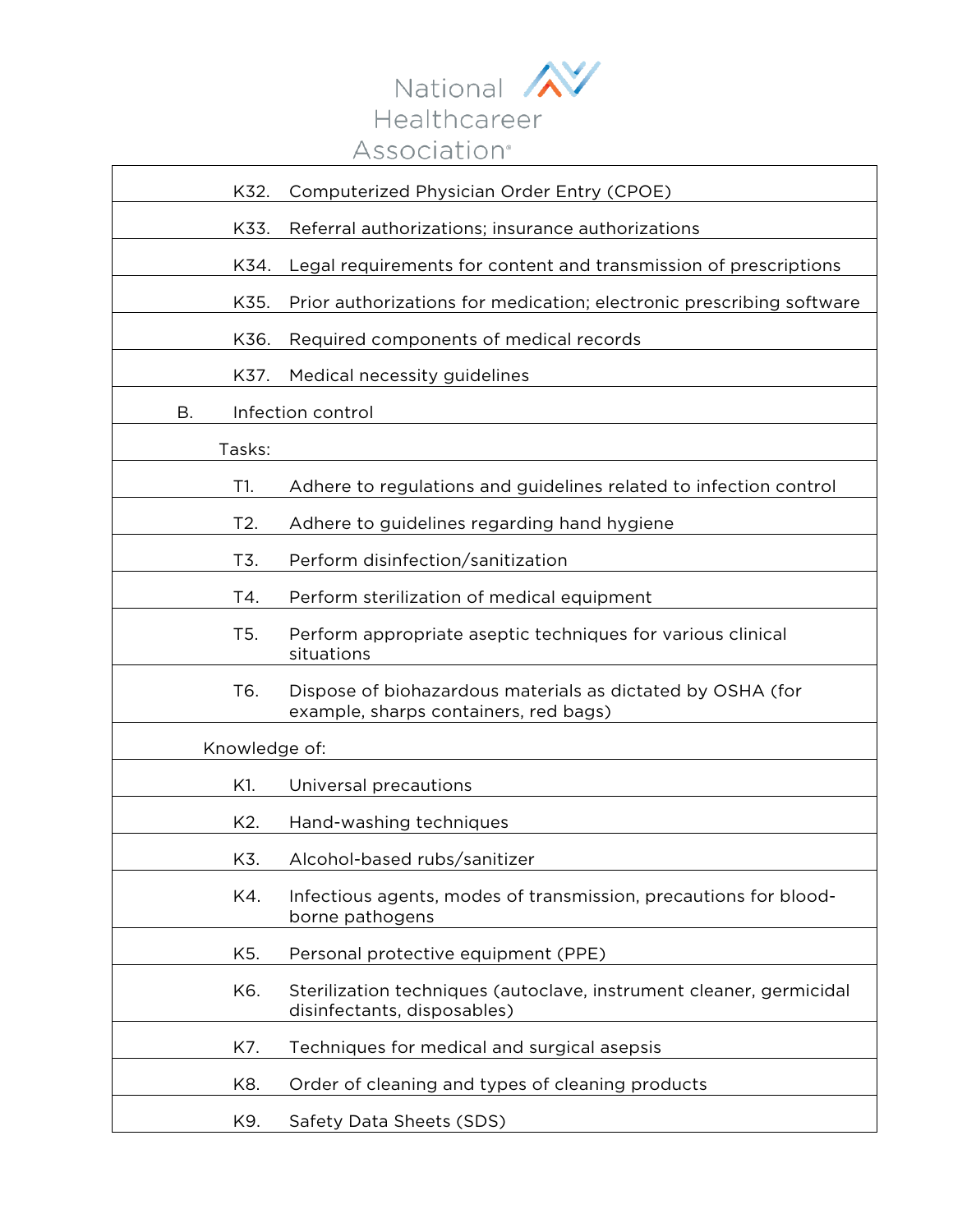

| K32.          | Computerized Physician Order Entry (CPOE)                                                           |  |
|---------------|-----------------------------------------------------------------------------------------------------|--|
| K33.          | Referral authorizations; insurance authorizations                                                   |  |
| K34.          | Legal requirements for content and transmission of prescriptions                                    |  |
| K35.          | Prior authorizations for medication; electronic prescribing software                                |  |
| K36.          | Required components of medical records                                                              |  |
| K37.          | Medical necessity guidelines                                                                        |  |
| Β.            | Infection control                                                                                   |  |
| Tasks:        |                                                                                                     |  |
| T1.           | Adhere to regulations and guidelines related to infection control                                   |  |
| T2.           | Adhere to guidelines regarding hand hygiene                                                         |  |
| T3.           | Perform disinfection/sanitization                                                                   |  |
| T4.           | Perform sterilization of medical equipment                                                          |  |
| T5.           | Perform appropriate aseptic techniques for various clinical<br>situations                           |  |
| T6.           | Dispose of biohazardous materials as dictated by OSHA (for<br>example, sharps containers, red bags) |  |
| Knowledge of: |                                                                                                     |  |
| K1.           | Universal precautions                                                                               |  |
| K2.           | Hand-washing techniques                                                                             |  |
| K3.           | Alcohol-based rubs/sanitizer                                                                        |  |
| K4.           | Infectious agents, modes of transmission, precautions for blood-<br>borne pathogens                 |  |
| K5.           | Personal protective equipment (PPE)                                                                 |  |
| K6.           | Sterilization techniques (autoclave, instrument cleaner, germicidal<br>disinfectants, disposables)  |  |
| K7.           | Techniques for medical and surgical asepsis                                                         |  |
| K8.           | Order of cleaning and types of cleaning products                                                    |  |
| K9.           | Safety Data Sheets (SDS)                                                                            |  |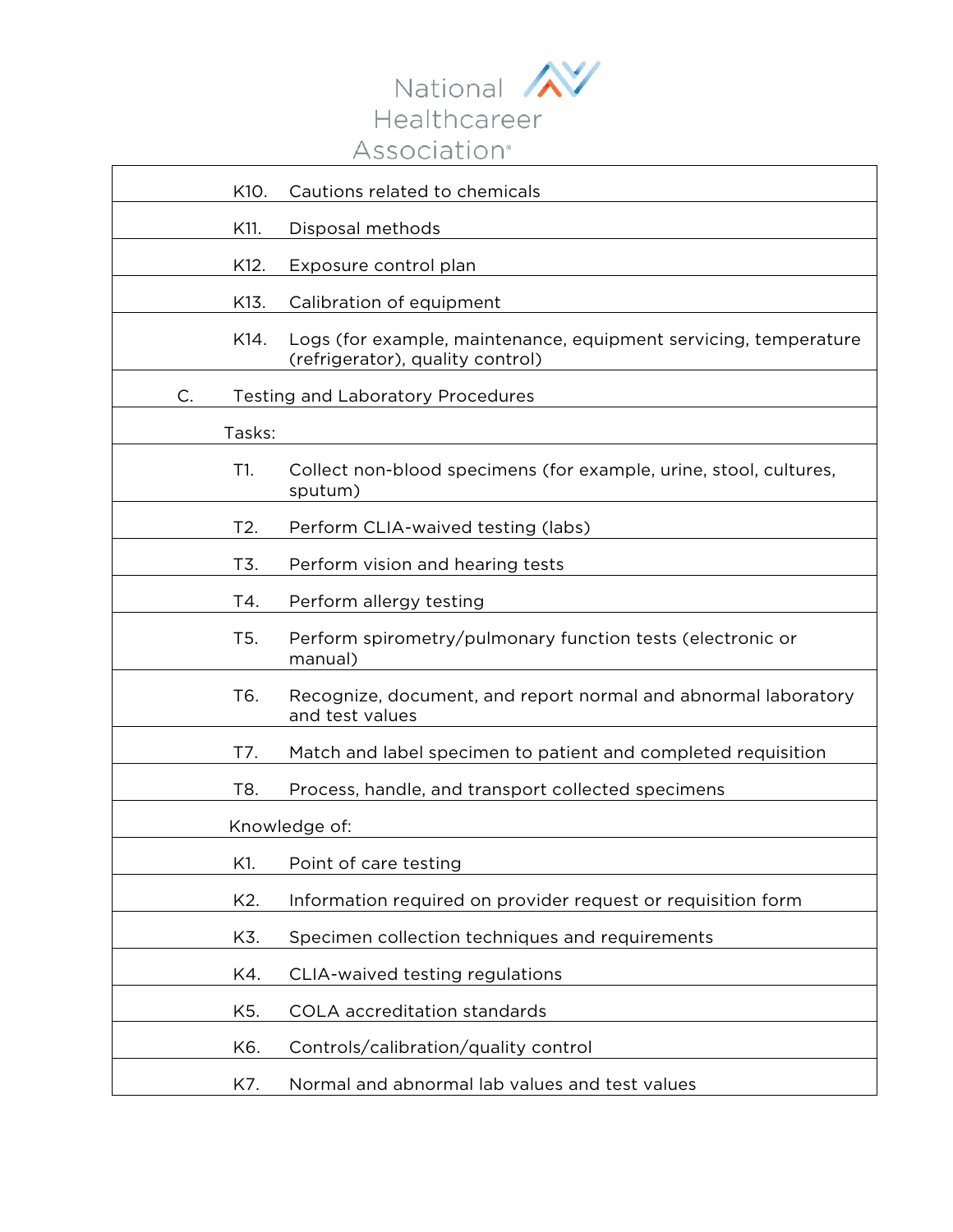

| K10.             | Cautions related to chemicals                                                                        |  |
|------------------|------------------------------------------------------------------------------------------------------|--|
| K11.             | Disposal methods                                                                                     |  |
| K12.             | Exposure control plan                                                                                |  |
| K13.             | Calibration of equipment                                                                             |  |
| K14.             | Logs (for example, maintenance, equipment servicing, temperature<br>(refrigerator), quality control) |  |
| $C$ .            | <b>Testing and Laboratory Procedures</b>                                                             |  |
| Tasks:           |                                                                                                      |  |
| T1.              | Collect non-blood specimens (for example, urine, stool, cultures,<br>sputum)                         |  |
| T2.              | Perform CLIA-waived testing (labs)                                                                   |  |
| T3.              | Perform vision and hearing tests                                                                     |  |
| T4.              | Perform allergy testing                                                                              |  |
| T <sub>5</sub> . | Perform spirometry/pulmonary function tests (electronic or<br>manual)                                |  |
| T6.              | Recognize, document, and report normal and abnormal laboratory<br>and test values                    |  |
| T7.              | Match and label specimen to patient and completed requisition                                        |  |
| T8.              | Process, handle, and transport collected specimens                                                   |  |
| Knowledge of:    |                                                                                                      |  |
| K1.              | Point of care testing                                                                                |  |
| K2.              | Information required on provider request or requisition form                                         |  |
| K3.              | Specimen collection techniques and requirements                                                      |  |
| K4.              | CLIA-waived testing regulations                                                                      |  |
| K5.              | COLA accreditation standards                                                                         |  |
| K6.              | Controls/calibration/quality control                                                                 |  |
| K7.              | Normal and abnormal lab values and test values                                                       |  |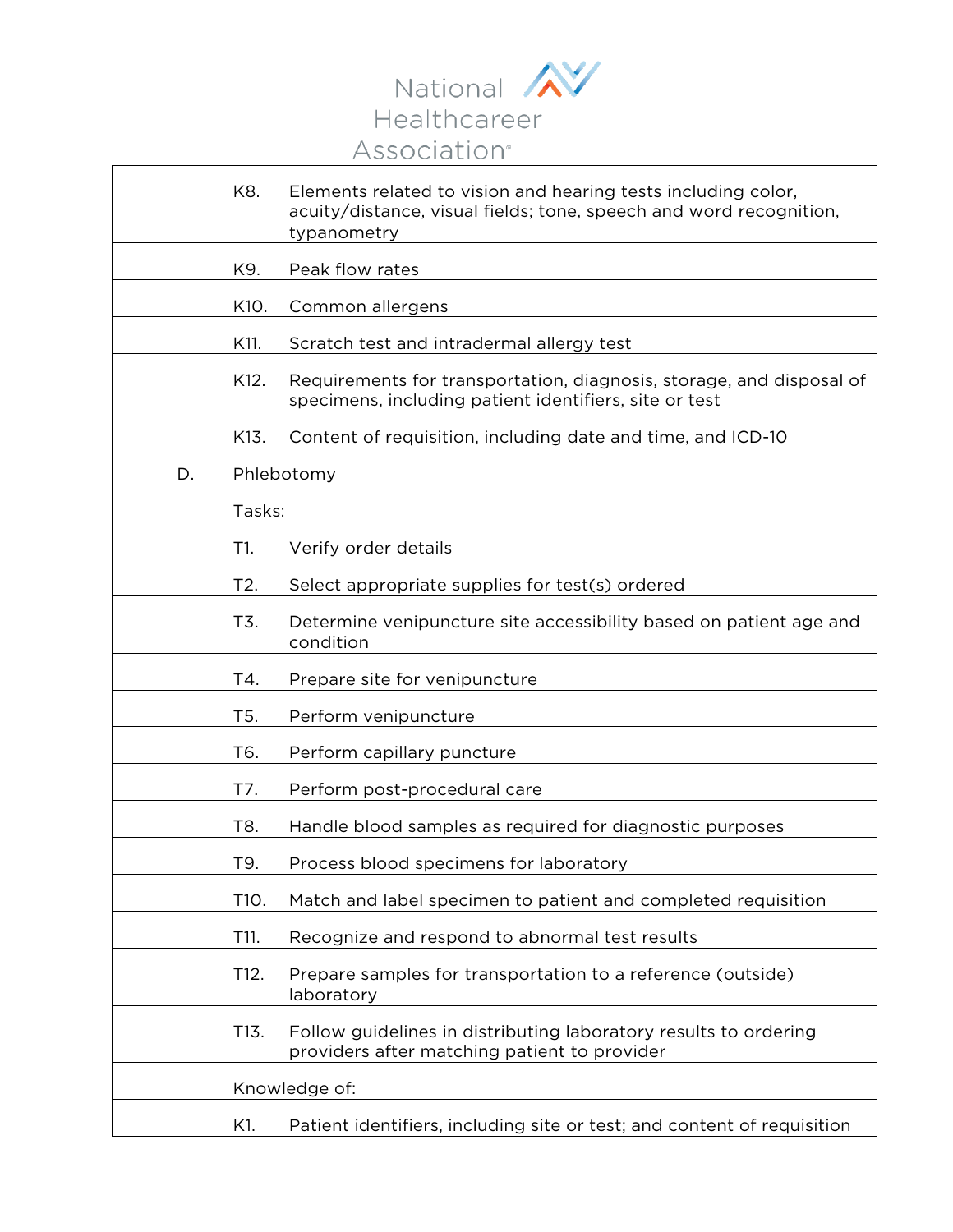

 $\overline{\mathbf{1}}$ 

 $\Gamma$ 

|    | K8.              | Elements related to vision and hearing tests including color,<br>acuity/distance, visual fields; tone, speech and word recognition,<br>typanometry |
|----|------------------|----------------------------------------------------------------------------------------------------------------------------------------------------|
|    | K9.              | Peak flow rates                                                                                                                                    |
|    | K10.             | Common allergens                                                                                                                                   |
|    | K11.             | Scratch test and intradermal allergy test                                                                                                          |
|    | K12.             | Requirements for transportation, diagnosis, storage, and disposal of<br>specimens, including patient identifiers, site or test                     |
|    | K13.             | Content of requisition, including date and time, and ICD-10                                                                                        |
| D. |                  | Phlebotomy                                                                                                                                         |
|    | Tasks:           |                                                                                                                                                    |
|    | T1.              | Verify order details                                                                                                                               |
|    | T2.              | Select appropriate supplies for test(s) ordered                                                                                                    |
|    | T3.              | Determine venipuncture site accessibility based on patient age and<br>condition                                                                    |
|    | T4.              | Prepare site for venipuncture                                                                                                                      |
|    | T <sub>5</sub> . | Perform venipuncture                                                                                                                               |
|    | T6.              | Perform capillary puncture                                                                                                                         |
|    | T7.              | Perform post-procedural care                                                                                                                       |
|    | T8.              | Handle blood samples as required for diagnostic purposes                                                                                           |
|    | T9.              | Process blood specimens for laboratory                                                                                                             |
|    | T10.             | Match and label specimen to patient and completed requisition                                                                                      |
|    | T11.             | Recognize and respond to abnormal test results                                                                                                     |
|    | T12.             | Prepare samples for transportation to a reference (outside)<br>laboratory                                                                          |
|    | T13.             | Follow guidelines in distributing laboratory results to ordering<br>providers after matching patient to provider                                   |
|    |                  | Knowledge of:                                                                                                                                      |
|    | K1.              | Patient identifiers, including site or test; and content of requisition                                                                            |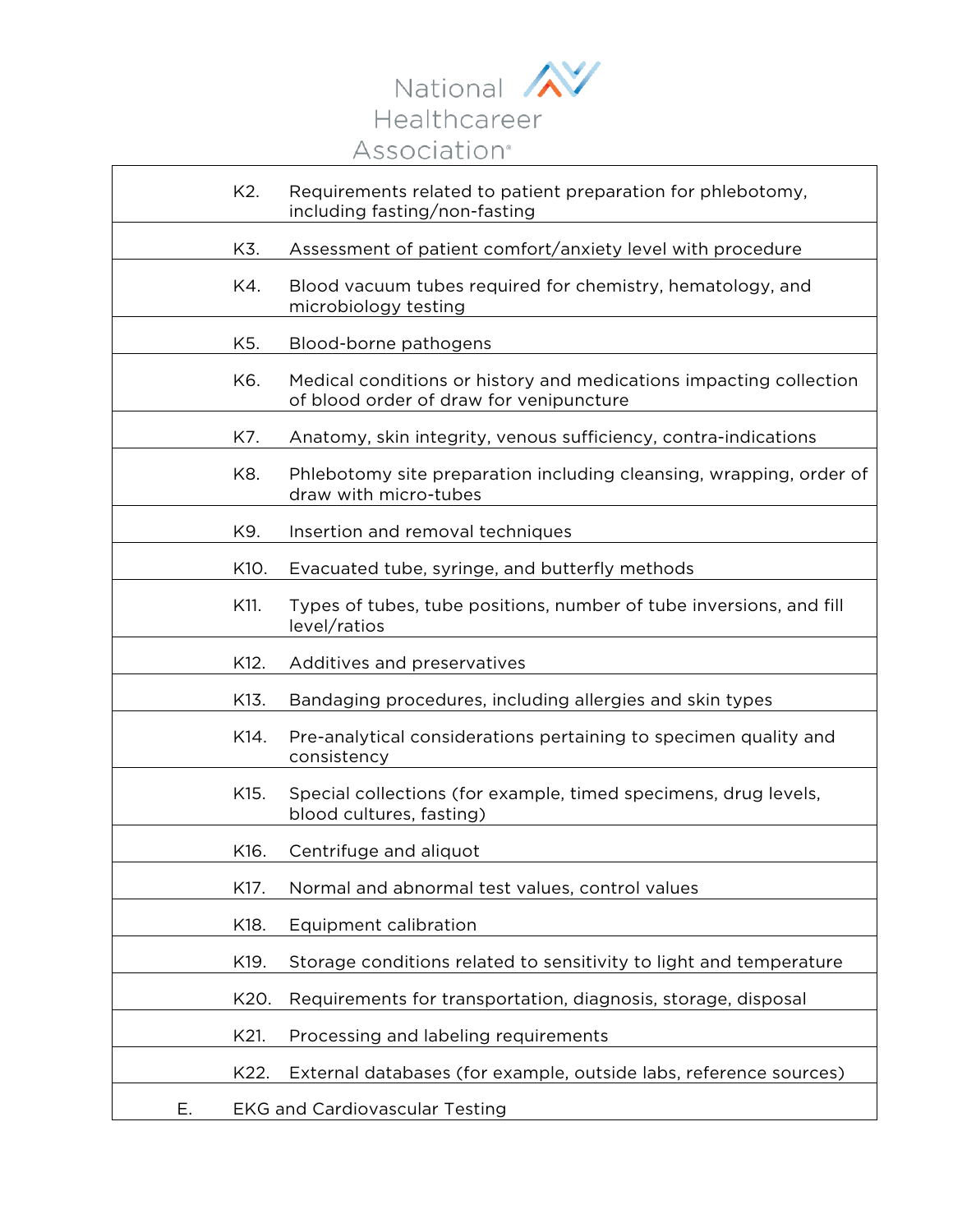

|    | K2.  | Requirements related to patient preparation for phlebotomy,<br>including fasting/non-fasting                  |
|----|------|---------------------------------------------------------------------------------------------------------------|
|    | K3.  | Assessment of patient comfort/anxiety level with procedure                                                    |
|    | K4.  | Blood vacuum tubes required for chemistry, hematology, and<br>microbiology testing                            |
|    | K5.  | Blood-borne pathogens                                                                                         |
|    | K6.  | Medical conditions or history and medications impacting collection<br>of blood order of draw for venipuncture |
|    | K7.  | Anatomy, skin integrity, venous sufficiency, contra-indications                                               |
|    | K8.  | Phlebotomy site preparation including cleansing, wrapping, order of<br>draw with micro-tubes                  |
|    | K9.  | Insertion and removal techniques                                                                              |
|    | K10. | Evacuated tube, syringe, and butterfly methods                                                                |
|    | K11. | Types of tubes, tube positions, number of tube inversions, and fill<br>level/ratios                           |
|    | K12. | Additives and preservatives                                                                                   |
|    | K13. | Bandaging procedures, including allergies and skin types                                                      |
|    | K14. | Pre-analytical considerations pertaining to specimen quality and<br>consistency                               |
|    | K15. | Special collections (for example, timed specimens, drug levels,<br>blood cultures, fasting)                   |
|    | K16. | Centrifuge and aliquot                                                                                        |
|    | K17. | Normal and abnormal test values, control values                                                               |
|    | K18. | Equipment calibration                                                                                         |
|    | K19. | Storage conditions related to sensitivity to light and temperature                                            |
|    | K20. | Requirements for transportation, diagnosis, storage, disposal                                                 |
|    | K21. | Processing and labeling requirements                                                                          |
|    | K22. | External databases (for example, outside labs, reference sources)                                             |
| Е. |      | <b>EKG and Cardiovascular Testing</b>                                                                         |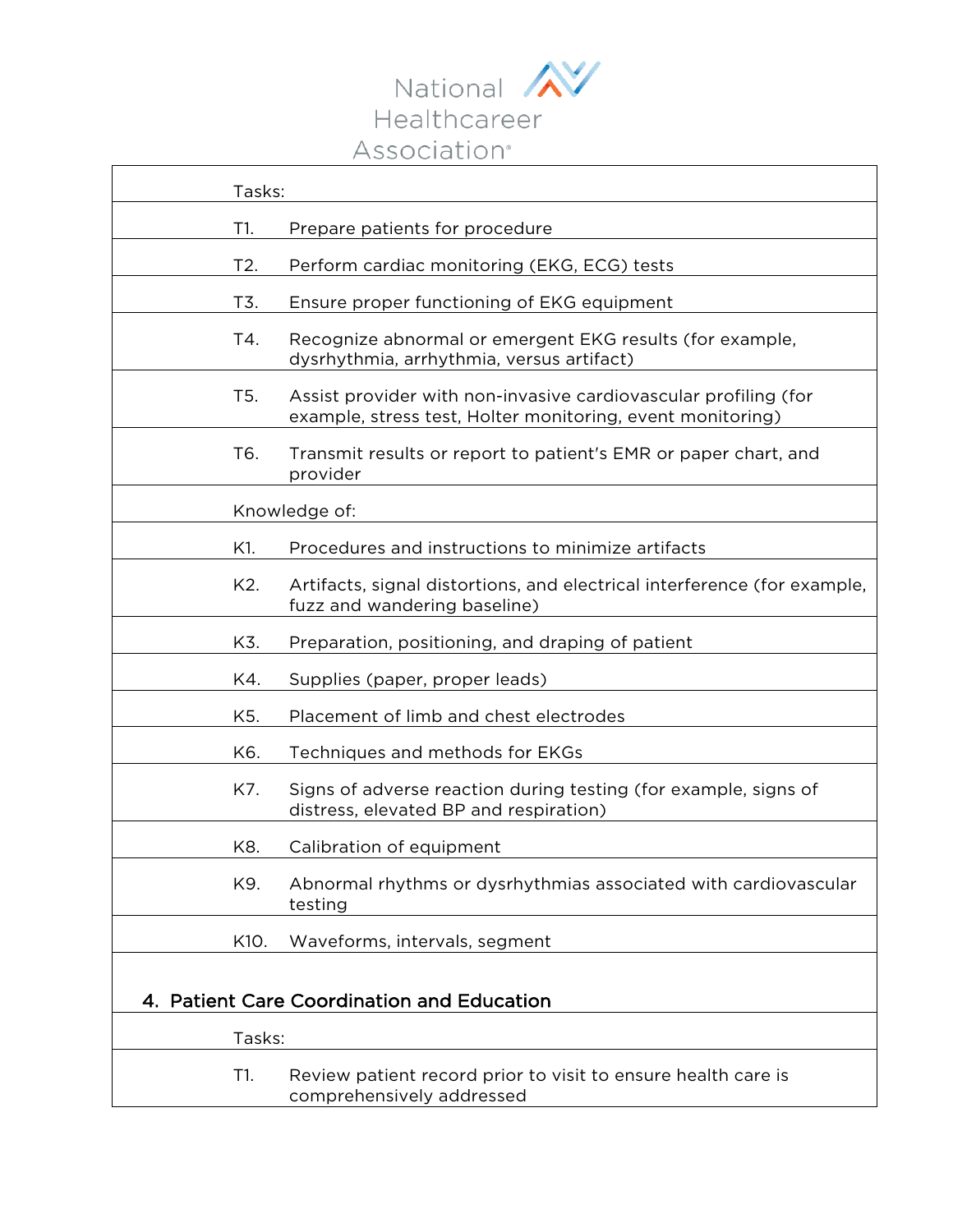

| Tasks:                                     |                                                                                                                               |  |
|--------------------------------------------|-------------------------------------------------------------------------------------------------------------------------------|--|
| T1.                                        | Prepare patients for procedure                                                                                                |  |
| T2.                                        | Perform cardiac monitoring (EKG, ECG) tests                                                                                   |  |
| T3.                                        | Ensure proper functioning of EKG equipment                                                                                    |  |
| T4.                                        | Recognize abnormal or emergent EKG results (for example,<br>dysrhythmia, arrhythmia, versus artifact)                         |  |
| T <sub>5</sub> .                           | Assist provider with non-invasive cardiovascular profiling (for<br>example, stress test, Holter monitoring, event monitoring) |  |
| T6.                                        | Transmit results or report to patient's EMR or paper chart, and<br>provider                                                   |  |
|                                            | Knowledge of:                                                                                                                 |  |
| K1.                                        | Procedures and instructions to minimize artifacts                                                                             |  |
| K2.                                        | Artifacts, signal distortions, and electrical interference (for example,<br>fuzz and wandering baseline)                      |  |
| K3.                                        | Preparation, positioning, and draping of patient                                                                              |  |
| K4.                                        | Supplies (paper, proper leads)                                                                                                |  |
| K5.                                        | Placement of limb and chest electrodes                                                                                        |  |
| K6.                                        | Techniques and methods for EKGs                                                                                               |  |
| K7.                                        | Signs of adverse reaction during testing (for example, signs of<br>distress, elevated BP and respiration)                     |  |
| K8.                                        | Calibration of equipment                                                                                                      |  |
| K9.                                        | Abnormal rhythms or dysrhythmias associated with cardiovascular<br>testing                                                    |  |
| K10.                                       | Waveforms, intervals, segment                                                                                                 |  |
| 4. Patient Care Coordination and Education |                                                                                                                               |  |
| Tasks:                                     |                                                                                                                               |  |
| T1.                                        | Review patient record prior to visit to ensure health care is<br>comprehensively addressed                                    |  |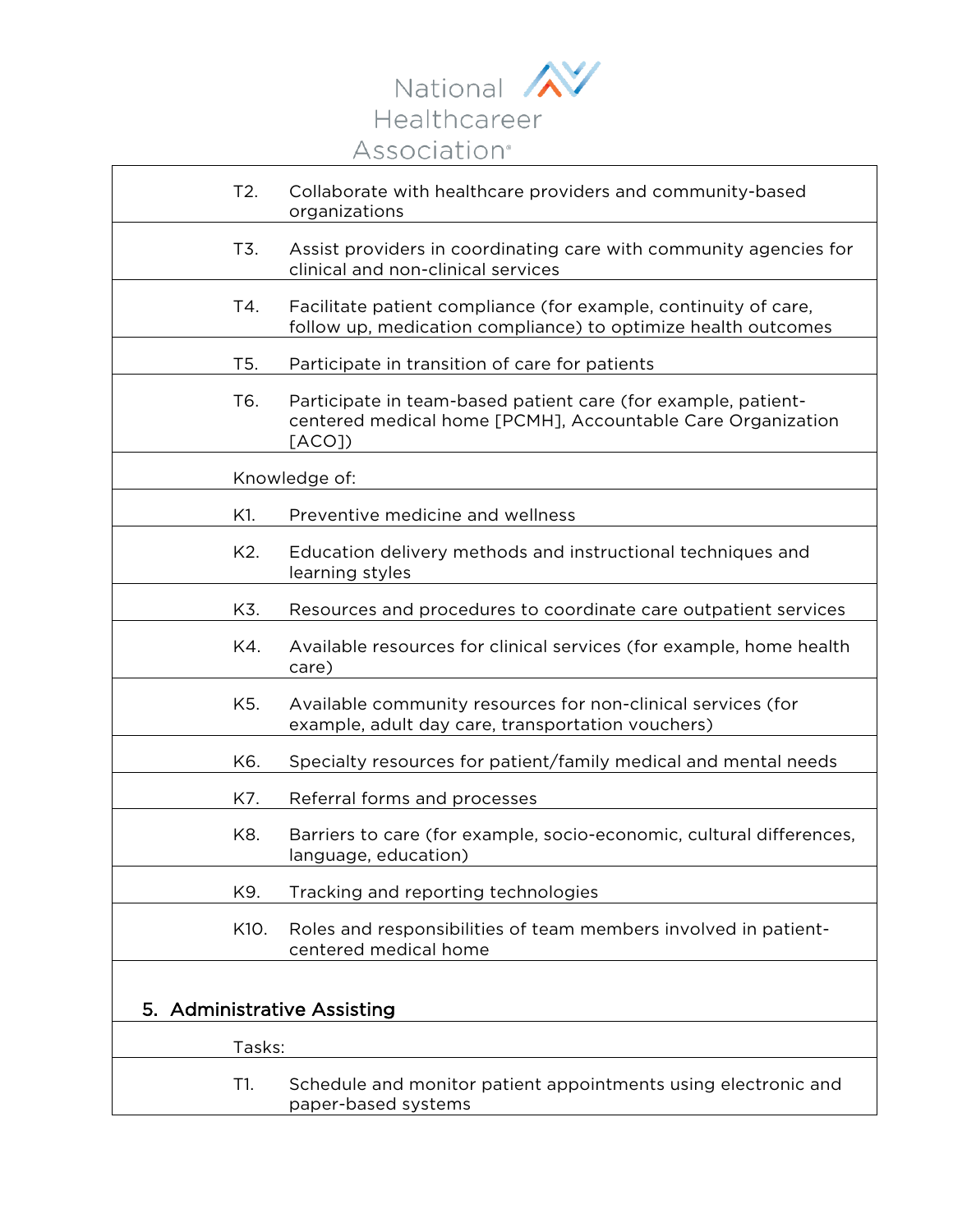

| T2.           | Collaborate with healthcare providers and community-based<br>organizations                                                            |  |
|---------------|---------------------------------------------------------------------------------------------------------------------------------------|--|
| T3.           | Assist providers in coordinating care with community agencies for<br>clinical and non-clinical services                               |  |
| T4.           | Facilitate patient compliance (for example, continuity of care,<br>follow up, medication compliance) to optimize health outcomes      |  |
| T5.           | Participate in transition of care for patients                                                                                        |  |
| T6.           | Participate in team-based patient care (for example, patient-<br>centered medical home [PCMH], Accountable Care Organization<br>[ACO] |  |
| Knowledge of: |                                                                                                                                       |  |
| K1.           | Preventive medicine and wellness                                                                                                      |  |
| K2.           | Education delivery methods and instructional techniques and<br>learning styles                                                        |  |
| K3.           | Resources and procedures to coordinate care outpatient services                                                                       |  |
| K4.           | Available resources for clinical services (for example, home health<br>care)                                                          |  |
| K5.           | Available community resources for non-clinical services (for<br>example, adult day care, transportation vouchers)                     |  |
| K6.           | Specialty resources for patient/family medical and mental needs                                                                       |  |
| K7.           | Referral forms and processes                                                                                                          |  |
| K8.           | Barriers to care (for example, socio-economic, cultural differences,<br>language, education)                                          |  |
| K9.           | Tracking and reporting technologies                                                                                                   |  |
| K10.          | Roles and responsibilities of team members involved in patient-<br>centered medical home                                              |  |
| 5.            | <b>Administrative Assisting</b>                                                                                                       |  |
| Tasks:        |                                                                                                                                       |  |
| T1.           | Schedule and monitor patient appointments using electronic and<br>paper-based systems                                                 |  |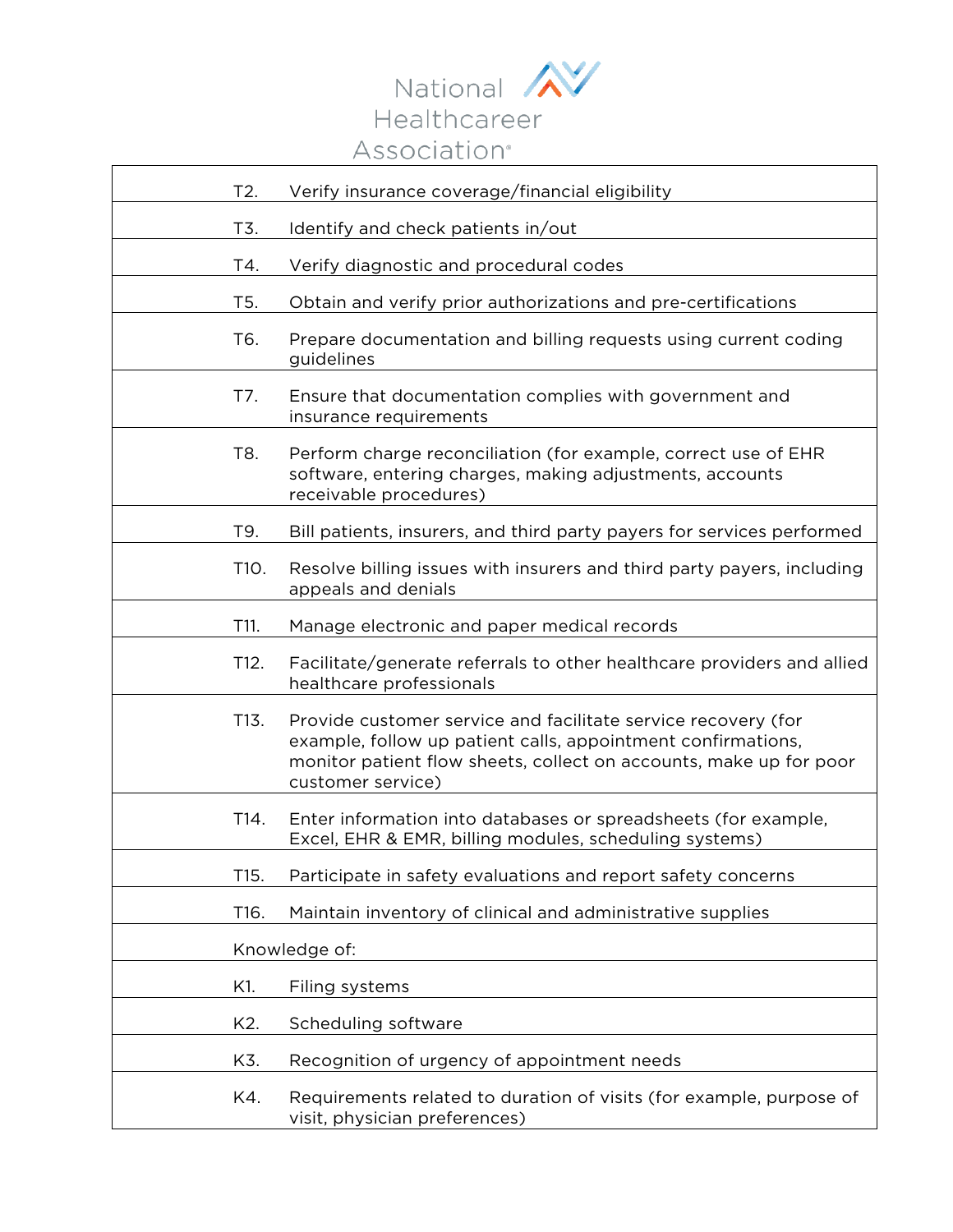

| T2.  | Verify insurance coverage/financial eligibility                                                                                                                                                                          |
|------|--------------------------------------------------------------------------------------------------------------------------------------------------------------------------------------------------------------------------|
| T3.  | Identify and check patients in/out                                                                                                                                                                                       |
| T4.  | Verify diagnostic and procedural codes                                                                                                                                                                                   |
| T5.  | Obtain and verify prior authorizations and pre-certifications                                                                                                                                                            |
| T6.  | Prepare documentation and billing requests using current coding                                                                                                                                                          |
|      | guidelines                                                                                                                                                                                                               |
| T7.  | Ensure that documentation complies with government and<br>insurance requirements                                                                                                                                         |
| T8.  | Perform charge reconciliation (for example, correct use of EHR<br>software, entering charges, making adjustments, accounts<br>receivable procedures)                                                                     |
| T9.  | Bill patients, insurers, and third party payers for services performed                                                                                                                                                   |
| T10. | Resolve billing issues with insurers and third party payers, including<br>appeals and denials                                                                                                                            |
| T11. | Manage electronic and paper medical records                                                                                                                                                                              |
| T12. | Facilitate/generate referrals to other healthcare providers and allied<br>healthcare professionals                                                                                                                       |
| T13. | Provide customer service and facilitate service recovery (for<br>example, follow up patient calls, appointment confirmations,<br>monitor patient flow sheets, collect on accounts, make up for poor<br>customer service) |
| T14. | Enter information into databases or spreadsheets (for example,<br>Excel, EHR & EMR, billing modules, scheduling systems)                                                                                                 |
| T15. | Participate in safety evaluations and report safety concerns                                                                                                                                                             |
| T16. | Maintain inventory of clinical and administrative supplies                                                                                                                                                               |
|      | Knowledge of:                                                                                                                                                                                                            |
| K1.  | Filing systems                                                                                                                                                                                                           |
| K2.  | Scheduling software                                                                                                                                                                                                      |
| K3.  | Recognition of urgency of appointment needs                                                                                                                                                                              |
| K4.  | Requirements related to duration of visits (for example, purpose of<br>visit, physician preferences)                                                                                                                     |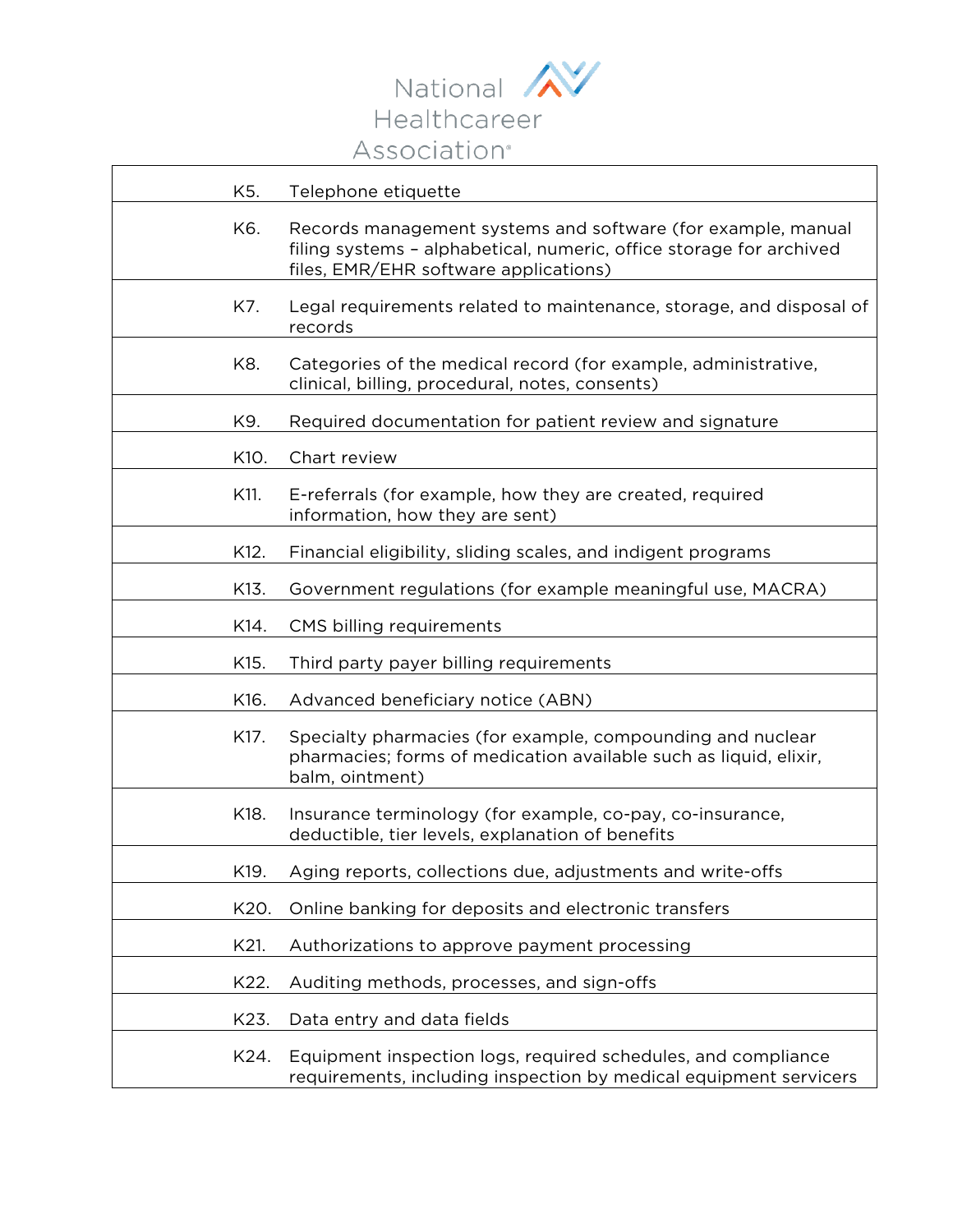

| K5.  | Telephone etiquette                                                                                                                                                          |
|------|------------------------------------------------------------------------------------------------------------------------------------------------------------------------------|
| K6.  | Records management systems and software (for example, manual<br>filing systems - alphabetical, numeric, office storage for archived<br>files, EMR/EHR software applications) |
| K7.  | Legal requirements related to maintenance, storage, and disposal of<br>records                                                                                               |
| K8.  | Categories of the medical record (for example, administrative,<br>clinical, billing, procedural, notes, consents)                                                            |
| K9.  | Required documentation for patient review and signature                                                                                                                      |
| K10. | Chart review                                                                                                                                                                 |
| K11. | E-referrals (for example, how they are created, required<br>information, how they are sent)                                                                                  |
| K12. | Financial eligibility, sliding scales, and indigent programs                                                                                                                 |
| K13. | Government regulations (for example meaningful use, MACRA)                                                                                                                   |
| K14. | CMS billing requirements                                                                                                                                                     |
| K15. | Third party payer billing requirements                                                                                                                                       |
| K16. | Advanced beneficiary notice (ABN)                                                                                                                                            |
| K17. | Specialty pharmacies (for example, compounding and nuclear<br>pharmacies; forms of medication available such as liquid, elixir,<br>balm, ointment)                           |
| K18. | Insurance terminology (for example, co-pay, co-insurance,<br>deductible, tier levels, explanation of benefits                                                                |
| K19. | Aging reports, collections due, adjustments and write-offs                                                                                                                   |
| K20. | Online banking for deposits and electronic transfers                                                                                                                         |
| K21. | Authorizations to approve payment processing                                                                                                                                 |
| K22. | Auditing methods, processes, and sign-offs                                                                                                                                   |
| K23. | Data entry and data fields                                                                                                                                                   |
| K24. | Equipment inspection logs, required schedules, and compliance<br>requirements, including inspection by medical equipment servicers                                           |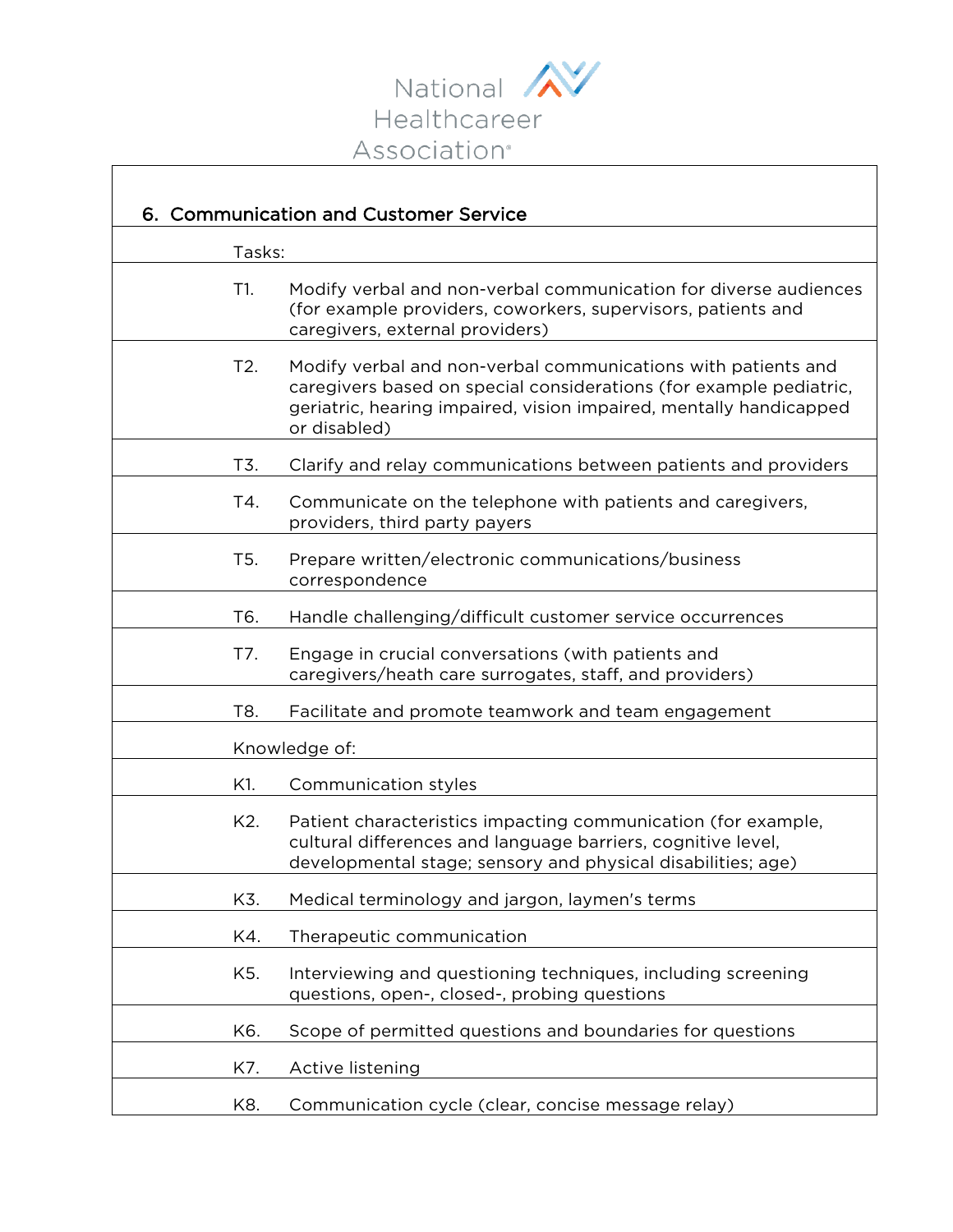

 $\overline{ }$ 

| 6. Communication and Customer Service |                                                                                                                                                                                                                           |
|---------------------------------------|---------------------------------------------------------------------------------------------------------------------------------------------------------------------------------------------------------------------------|
| Tasks:                                |                                                                                                                                                                                                                           |
| T1.                                   | Modify verbal and non-verbal communication for diverse audiences<br>(for example providers, coworkers, supervisors, patients and<br>caregivers, external providers)                                                       |
| T2.                                   | Modify verbal and non-verbal communications with patients and<br>caregivers based on special considerations (for example pediatric,<br>geriatric, hearing impaired, vision impaired, mentally handicapped<br>or disabled) |
| T3.                                   | Clarify and relay communications between patients and providers                                                                                                                                                           |
| T4.                                   | Communicate on the telephone with patients and caregivers,<br>providers, third party payers                                                                                                                               |
| T <sub>5</sub> .                      | Prepare written/electronic communications/business<br>correspondence                                                                                                                                                      |
| T6.                                   | Handle challenging/difficult customer service occurrences                                                                                                                                                                 |
| T7.                                   | Engage in crucial conversations (with patients and<br>caregivers/heath care surrogates, staff, and providers)                                                                                                             |
| T8.                                   | Facilitate and promote teamwork and team engagement                                                                                                                                                                       |
|                                       | Knowledge of:                                                                                                                                                                                                             |
| K1.                                   | Communication styles                                                                                                                                                                                                      |
| K2.                                   | Patient characteristics impacting communication (for example,<br>cultural differences and language barriers, cognitive level,<br>developmental stage; sensory and physical disabilities; age)                             |
| K3.                                   | Medical terminology and jargon, laymen's terms                                                                                                                                                                            |
| K4.                                   | Therapeutic communication                                                                                                                                                                                                 |
| K5.                                   | Interviewing and questioning techniques, including screening<br>questions, open-, closed-, probing questions                                                                                                              |
| K6.                                   | Scope of permitted questions and boundaries for questions                                                                                                                                                                 |
| K7.                                   | Active listening                                                                                                                                                                                                          |
| K8.                                   | Communication cycle (clear, concise message relay)                                                                                                                                                                        |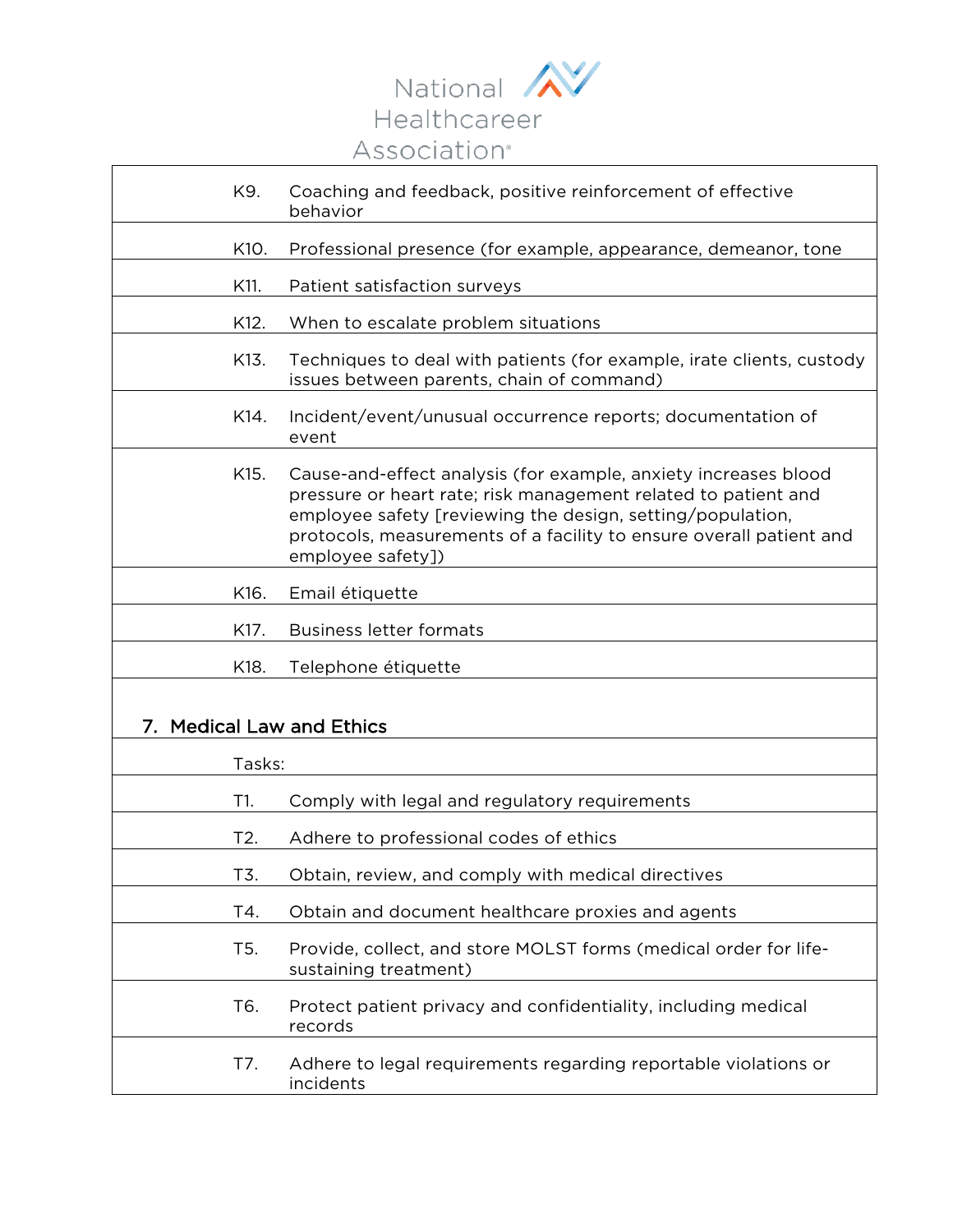

| K9.                                 | Coaching and feedback, positive reinforcement of effective<br>behavior                                                                                                                                                                                                                      |
|-------------------------------------|---------------------------------------------------------------------------------------------------------------------------------------------------------------------------------------------------------------------------------------------------------------------------------------------|
| K10.                                | Professional presence (for example, appearance, demeanor, tone                                                                                                                                                                                                                              |
| K11.                                | Patient satisfaction surveys                                                                                                                                                                                                                                                                |
| K12.                                | When to escalate problem situations                                                                                                                                                                                                                                                         |
| K13.                                | Techniques to deal with patients (for example, irate clients, custody<br>issues between parents, chain of command)                                                                                                                                                                          |
| K14.                                | Incident/event/unusual occurrence reports; documentation of<br>event                                                                                                                                                                                                                        |
| K15.                                | Cause-and-effect analysis (for example, anxiety increases blood<br>pressure or heart rate; risk management related to patient and<br>employee safety [reviewing the design, setting/population,<br>protocols, measurements of a facility to ensure overall patient and<br>employee safety]) |
| K16.                                | Email étiquette                                                                                                                                                                                                                                                                             |
| K17.                                | <b>Business letter formats</b>                                                                                                                                                                                                                                                              |
| K18.                                | Telephone étiquette                                                                                                                                                                                                                                                                         |
| <b>Medical Law and Ethics</b><br>7. |                                                                                                                                                                                                                                                                                             |
| Tasks:                              |                                                                                                                                                                                                                                                                                             |
| T1.                                 | Comply with legal and regulatory requirements                                                                                                                                                                                                                                               |
| T2.                                 | Adhere to professional codes of ethics                                                                                                                                                                                                                                                      |
| T3.                                 | Obtain, review, and comply with medical directives                                                                                                                                                                                                                                          |
| T4.                                 | Obtain and document healthcare proxies and agents                                                                                                                                                                                                                                           |
| T5.                                 | Provide, collect, and store MOLST forms (medical order for life-<br>sustaining treatment)                                                                                                                                                                                                   |
| T6.                                 | Protect patient privacy and confidentiality, including medical<br>records                                                                                                                                                                                                                   |
| T7.                                 | Adhere to legal requirements regarding reportable violations or<br>incidents                                                                                                                                                                                                                |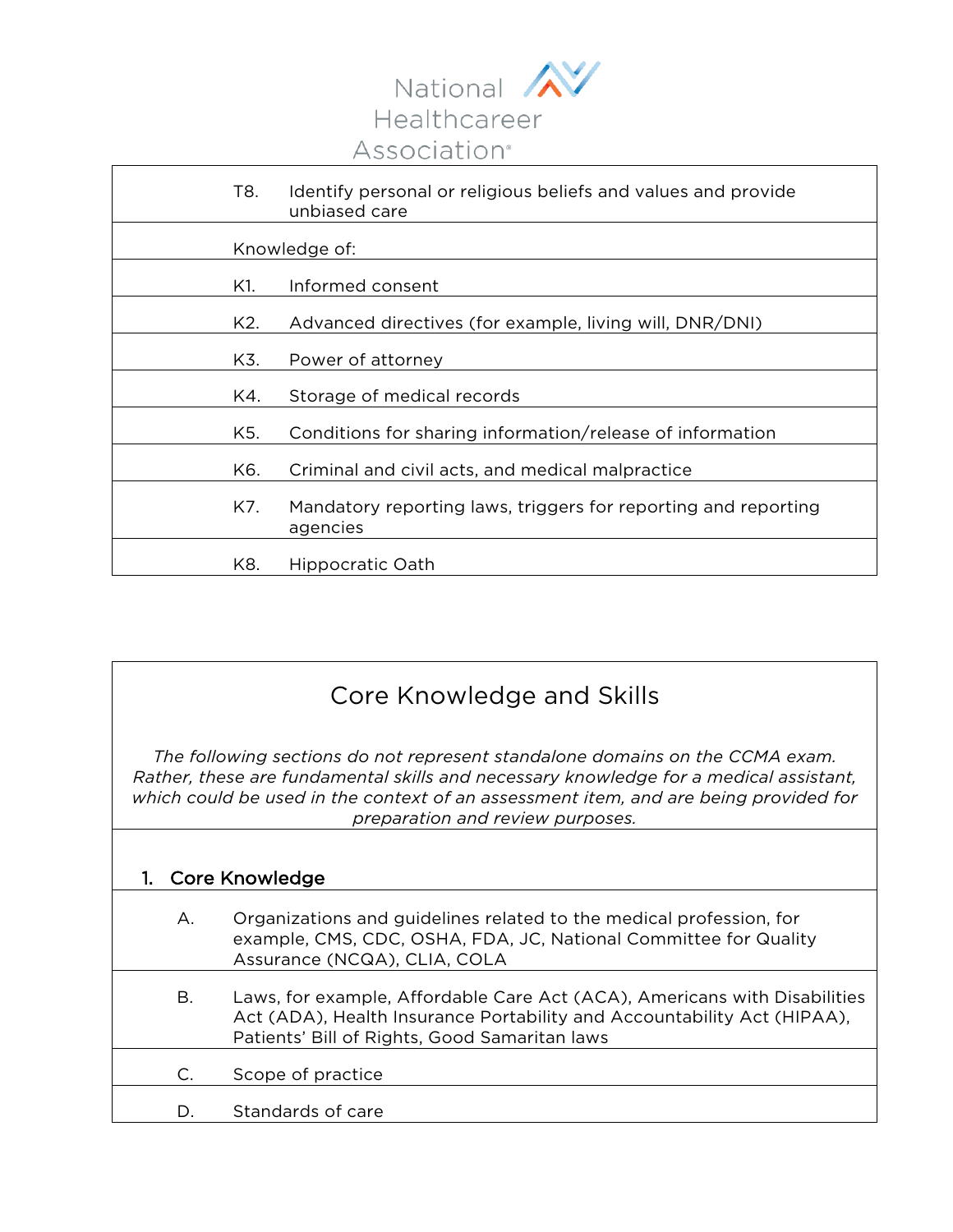

| T8. | Identify personal or religious beliefs and values and provide<br>unbiased care |
|-----|--------------------------------------------------------------------------------|
|     | Knowledge of:                                                                  |
| K1. | Informed consent                                                               |
| K2. | Advanced directives (for example, living will, DNR/DNI)                        |
| K3. | Power of attorney                                                              |
| K4. | Storage of medical records                                                     |
| K5. | Conditions for sharing information/release of information                      |
| K6. | Criminal and civil acts, and medical malpractice                               |
| K7. | Mandatory reporting laws, triggers for reporting and reporting<br>agencies     |
| K8. | Hippocratic Oath                                                               |

## Core Knowledge and Skills

*The following sections do not represent standalone domains on the CCMA exam. Rather, these are fundamental skills and necessary knowledge for a medical assistant, which could be used in the context of an assessment item, and are being provided for preparation and review purposes.*

| Core Knowledge |                                                                                                                                                                                                             |  |
|----------------|-------------------------------------------------------------------------------------------------------------------------------------------------------------------------------------------------------------|--|
|                | Organizations and guidelines related to the medical profession, for<br>Α.<br>example, CMS, CDC, OSHA, FDA, JC, National Committee for Quality<br>Assurance (NCQA), CLIA, COLA                               |  |
|                | В.<br>Laws, for example, Affordable Care Act (ACA), Americans with Disabilities<br>Act (ADA), Health Insurance Portability and Accountability Act (HIPAA),<br>Patients' Bill of Rights, Good Samaritan laws |  |
| C.             | Scope of practice                                                                                                                                                                                           |  |
| D.             | Standards of care                                                                                                                                                                                           |  |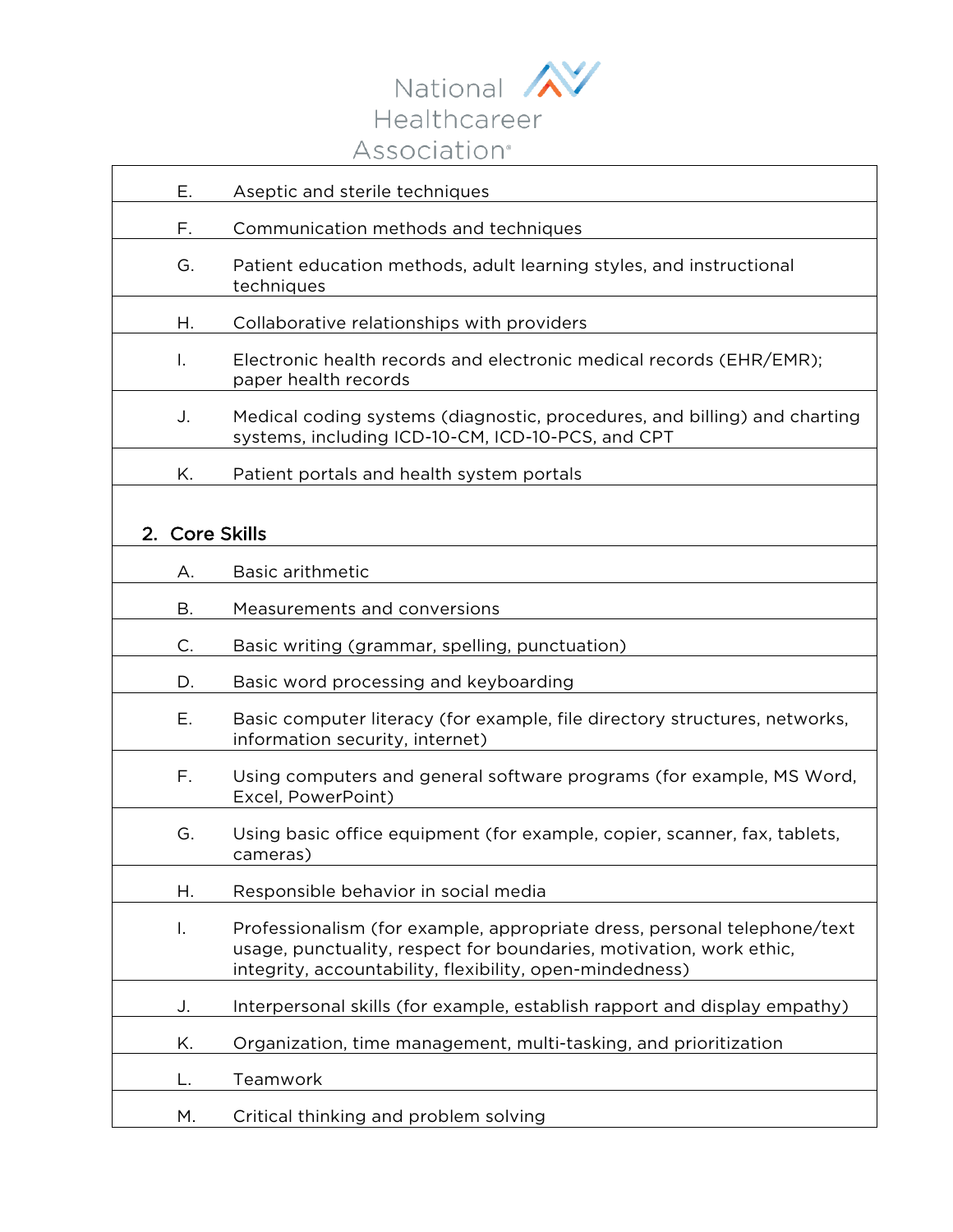

| Е.                       | Aseptic and sterile techniques                                                                                                                                                                              |
|--------------------------|-------------------------------------------------------------------------------------------------------------------------------------------------------------------------------------------------------------|
| F.                       | Communication methods and techniques                                                                                                                                                                        |
| G.                       | Patient education methods, adult learning styles, and instructional<br>techniques                                                                                                                           |
| Н.                       | Collaborative relationships with providers                                                                                                                                                                  |
| I.                       | Electronic health records and electronic medical records (EHR/EMR);<br>paper health records                                                                                                                 |
| J.                       | Medical coding systems (diagnostic, procedures, and billing) and charting<br>systems, including ICD-10-CM, ICD-10-PCS, and CPT                                                                              |
| Κ.                       | Patient portals and health system portals                                                                                                                                                                   |
|                          |                                                                                                                                                                                                             |
| <b>Core Skills</b><br>2. |                                                                                                                                                                                                             |
| Α.                       | <b>Basic arithmetic</b>                                                                                                                                                                                     |
| Β.                       | Measurements and conversions                                                                                                                                                                                |
| C.                       | Basic writing (grammar, spelling, punctuation)                                                                                                                                                              |
| D.                       | Basic word processing and keyboarding                                                                                                                                                                       |
| Ε.                       | Basic computer literacy (for example, file directory structures, networks,<br>information security, internet)                                                                                               |
| F.                       | Using computers and general software programs (for example, MS Word,<br>Excel, PowerPoint)                                                                                                                  |
| G.                       | Using basic office equipment (for example, copier, scanner, fax, tablets,<br>cameras)                                                                                                                       |
| Η.                       | Responsible behavior in social media                                                                                                                                                                        |
| I.                       | Professionalism (for example, appropriate dress, personal telephone/text<br>usage, punctuality, respect for boundaries, motivation, work ethic,<br>integrity, accountability, flexibility, open-mindedness) |
| J.                       | Interpersonal skills (for example, establish rapport and display empathy)                                                                                                                                   |
| Κ.                       | Organization, time management, multi-tasking, and prioritization                                                                                                                                            |
| L.                       | Teamwork                                                                                                                                                                                                    |
| М.                       | Critical thinking and problem solving                                                                                                                                                                       |